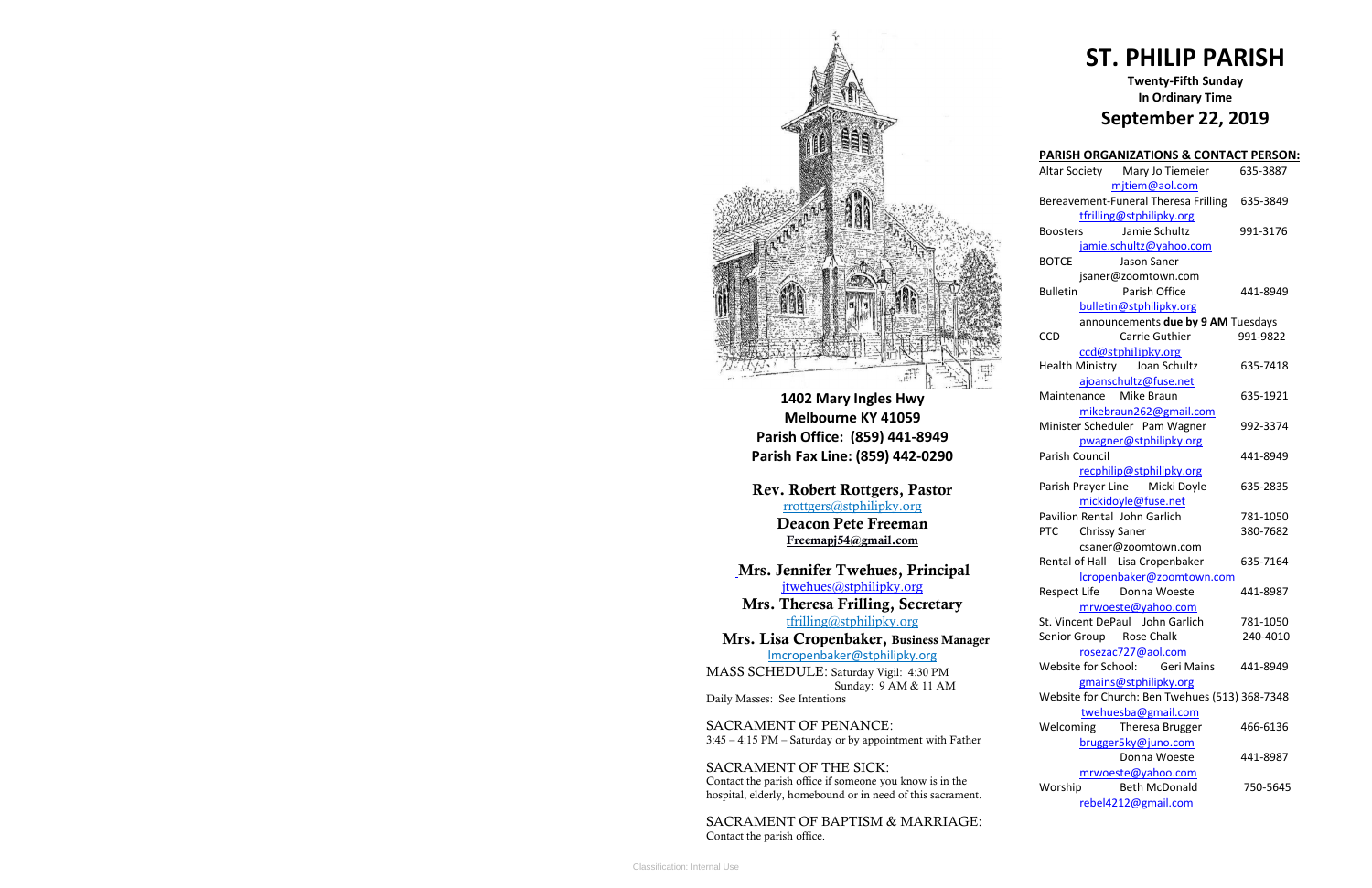

**1402 Mary Ingles Hwy Melbourne KY 41059 Parish Office: (859) 441-8949 Parish Fax Line: (859) 442-0290**

**Mrs. Theresa Frilling, Secretary**  [tfrilling@stphilipky.org](mailto:tfrilling@stphilipky.org)

**Rev. Robert Rottgers, Pastor**  [rrottgers@stphilipky.org](mailto:rrottgers@stphilipky.org) **Deacon Pete Freeman Freemapj54@gmail.com**

**Mrs. Jennifer Twehues, Principal** [jtwehues@stphilipky.org](mailto:jtwehues@stphilipky.org)

 **Mrs. Lisa Cropenbaker, Business Manager**  lmcropenbaker@stphilipky.org

MASS SCHEDULE: Saturday Vigil: 4:30 PM Sunday: 9 AM & 11 AM Daily Masses: See Intentions

SACRAMENT OF PENANCE: 3:45 – 4:15 PM – Saturday or by appointment with Father

SACRAMENT OF THE SICK: Contact the parish office if someone you know is in the hospital, elderly, homebound or in need of this sacrament.

SACRAMENT OF BAPTISM & MARRIAGE: Contact the parish office.

# **ST. PHILIP PARISH**

# **Twenty-Fifth Sunday In Ordinary Time September 22, 2019**

| <b>PARISH ORGANIZATIONS &amp; CONTACT PERSON:</b> |          |
|---------------------------------------------------|----------|
| Altar Society Mary Jo Tiemeier                    | 635-3887 |
| mjtiem@aol.com                                    |          |
| Bereavement-Funeral Theresa Frilling              | 635-3849 |
| tfrilling@stphilipky.org                          |          |
| Jamie Schultz<br><b>Boosters</b>                  | 991-3176 |
| jamie.schultz@yahoo.com                           |          |
| <b>BOTCE</b><br>Jason Saner                       |          |
| jsaner@zoomtown.com                               |          |
| Parish Office<br><b>Bulletin</b>                  | 441-8949 |
| bulletin@stphilipky.org                           |          |
| announcements due by 9 AM Tuesdays                |          |
| CCD<br>Carrie Guthier                             | 991-9822 |
| ccd@stphilipky.org                                |          |
| Health Ministry Joan Schultz                      | 635-7418 |
| ajoanschultz@fuse.net                             |          |
| Maintenance Mike Braun                            | 635-1921 |
| mikebraun262@gmail.com                            |          |
| Minister Scheduler Pam Wagner                     | 992-3374 |
| pwagner@stphilipky.org                            |          |
| Parish Council                                    | 441-8949 |
| recphilip@stphilipky.org                          |          |
| Parish Prayer Line Micki Doyle                    | 635-2835 |
| mickidoyle@fuse.net                               |          |
| Pavilion Rental John Garlich                      | 781-1050 |
| <b>PTC</b><br><b>Chrissy Saner</b>                | 380-7682 |
| csaner@zoomtown.com                               |          |
| Rental of Hall Lisa Cropenbaker                   | 635-7164 |
| lcropenbaker@zoomtown.com                         |          |
| Respect Life Donna Woeste                         | 441-8987 |
| mrwoeste@yahoo.com                                |          |
| St. Vincent DePaul John Garlich                   | 781-1050 |
| Senior Group Rose Chalk                           | 240-4010 |
| rosezac727@aol.com                                |          |
| Website for School:<br><b>Geri Mains</b>          | 441-8949 |
| gmains@stphilipky.org                             |          |
| Website for Church: Ben Twehues (513) 368-7348    |          |
| twehuesba@gmail.com                               |          |
| Welcoming<br><b>Theresa Brugger</b>               | 466-6136 |
| brugger5ky@juno.com                               |          |
| Donna Woeste                                      | 441-8987 |
| mrwoeste@yahoo.com                                |          |
| <b>Beth McDonald</b><br>Worship                   | 750-5645 |
| rebel4212@gmail.com                               |          |
|                                                   |          |